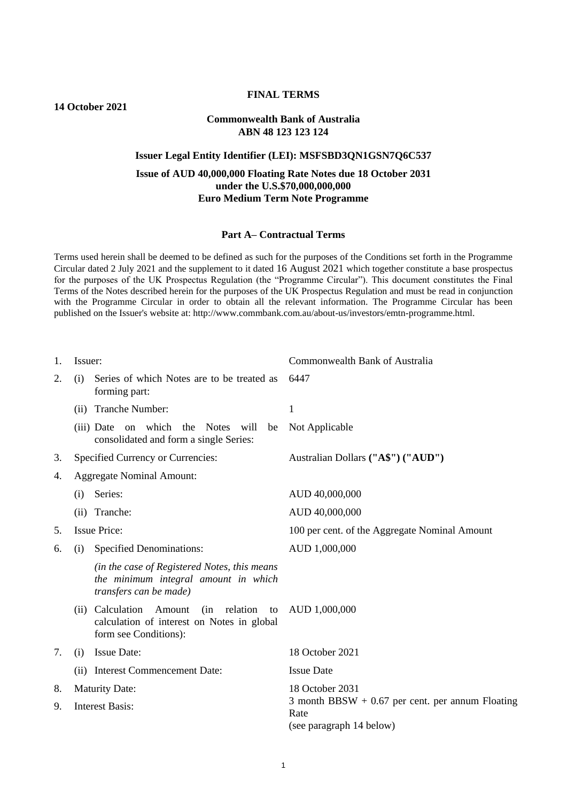# **FINAL TERMS**

**14 October 2021**

## **Commonwealth Bank of Australia ABN 48 123 123 124**

### **Issuer Legal Entity Identifier (LEI): MSFSBD3QN1GSN7Q6C537**

## **Issue of AUD 40,000,000 Floating Rate Notes due 18 October 2031 under the U.S.\$70,000,000,000 Euro Medium Term Note Programme**

### **Part A– Contractual Terms**

Terms used herein shall be deemed to be defined as such for the purposes of the Conditions set forth in the Programme Circular dated 2 July 2021 and the supplement to it dated 16 August 2021 which together constitute a base prospectus for the purposes of the UK Prospectus Regulation (the "Programme Circular"). This document constitutes the Final Terms of the Notes described herein for the purposes of the UK Prospectus Regulation and must be read in conjunction with the Programme Circular in order to obtain all the relevant information. The Programme Circular has been published on the Issuer's website at: http://www.commbank.com.au/about-us/investors/emtn-programme.html.

| 1. | Issuer:                                                                                                                     | Commonwealth Bank of Australia                                                         |
|----|-----------------------------------------------------------------------------------------------------------------------------|----------------------------------------------------------------------------------------|
| 2. | Series of which Notes are to be treated as<br>(i)<br>forming part:                                                          | 6447                                                                                   |
|    | (ii) Tranche Number:                                                                                                        | $\mathbf{1}$                                                                           |
|    | on which<br>the Notes will<br>(iii) Date<br>be<br>consolidated and form a single Series:                                    | Not Applicable                                                                         |
| 3. | Specified Currency or Currencies:                                                                                           | Australian Dollars ("A\$") ("AUD")                                                     |
| 4. | <b>Aggregate Nominal Amount:</b>                                                                                            |                                                                                        |
|    | Series:<br>(i)                                                                                                              | AUD 40,000,000                                                                         |
|    | (ii) Tranche:                                                                                                               | AUD 40,000,000                                                                         |
| 5. | <b>Issue Price:</b>                                                                                                         | 100 per cent. of the Aggregate Nominal Amount                                          |
| 6. | <b>Specified Denominations:</b><br>(i)                                                                                      | AUD 1,000,000                                                                          |
|    | (in the case of Registered Notes, this means<br>the minimum integral amount in which<br>transfers can be made)              |                                                                                        |
|    | Calculation<br>(in relation)<br>Amount<br>to<br>(ii)<br>calculation of interest on Notes in global<br>form see Conditions): | AUD 1,000,000                                                                          |
| 7. | <b>Issue Date:</b><br>(i)                                                                                                   | 18 October 2021                                                                        |
|    | (ii) Interest Commencement Date:                                                                                            | <b>Issue Date</b>                                                                      |
| 8. | <b>Maturity Date:</b>                                                                                                       | 18 October 2031                                                                        |
| 9. | <b>Interest Basis:</b>                                                                                                      | 3 month BBSW $+$ 0.67 per cent. per annum Floating<br>Rate<br>(see paragraph 14 below) |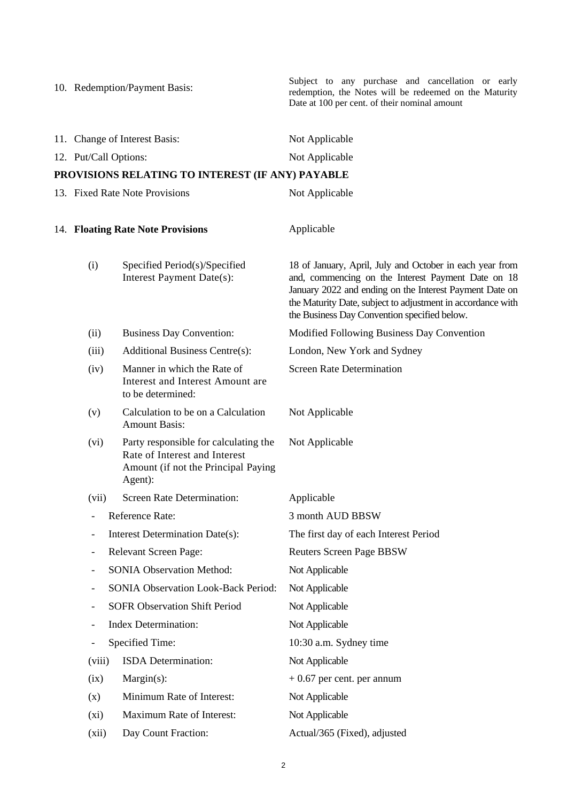|                                   | 10. Redemption/Payment Basis:                                                                                            | Subject to any purchase and cancellation or early<br>redemption, the Notes will be redeemed on the Maturity<br>Date at 100 per cent. of their nominal amount                                                                                                                             |
|-----------------------------------|--------------------------------------------------------------------------------------------------------------------------|------------------------------------------------------------------------------------------------------------------------------------------------------------------------------------------------------------------------------------------------------------------------------------------|
|                                   | 11. Change of Interest Basis:                                                                                            | Not Applicable                                                                                                                                                                                                                                                                           |
| 12. Put/Call Options:             |                                                                                                                          | Not Applicable                                                                                                                                                                                                                                                                           |
|                                   | PROVISIONS RELATING TO INTEREST (IF ANY) PAYABLE                                                                         |                                                                                                                                                                                                                                                                                          |
|                                   | 13. Fixed Rate Note Provisions                                                                                           | Not Applicable                                                                                                                                                                                                                                                                           |
| 14. Floating Rate Note Provisions |                                                                                                                          | Applicable                                                                                                                                                                                                                                                                               |
| (i)                               | Specified Period(s)/Specified<br>Interest Payment Date(s):                                                               | 18 of January, April, July and October in each year from<br>and, commencing on the Interest Payment Date on 18<br>January 2022 and ending on the Interest Payment Date on<br>the Maturity Date, subject to adjustment in accordance with<br>the Business Day Convention specified below. |
| (ii)                              | <b>Business Day Convention:</b>                                                                                          | Modified Following Business Day Convention                                                                                                                                                                                                                                               |
| (iii)                             | <b>Additional Business Centre(s):</b>                                                                                    | London, New York and Sydney                                                                                                                                                                                                                                                              |
| (iv)                              | Manner in which the Rate of<br>Interest and Interest Amount are<br>to be determined:                                     | <b>Screen Rate Determination</b>                                                                                                                                                                                                                                                         |
| (v)                               | Calculation to be on a Calculation<br><b>Amount Basis:</b>                                                               | Not Applicable                                                                                                                                                                                                                                                                           |
| (vi)                              | Party responsible for calculating the<br>Rate of Interest and Interest<br>Amount (if not the Principal Paying<br>Agent): | Not Applicable                                                                                                                                                                                                                                                                           |
| (vii)                             | <b>Screen Rate Determination:</b>                                                                                        | Applicable                                                                                                                                                                                                                                                                               |
| $\overline{\phantom{0}}$          | Reference Rate:                                                                                                          | 3 month AUD BBSW                                                                                                                                                                                                                                                                         |
| $\overline{\phantom{0}}$          | Interest Determination Date(s):                                                                                          | The first day of each Interest Period                                                                                                                                                                                                                                                    |
| $\qquad \qquad \blacksquare$      | <b>Relevant Screen Page:</b>                                                                                             | <b>Reuters Screen Page BBSW</b>                                                                                                                                                                                                                                                          |
| -                                 | <b>SONIA Observation Method:</b>                                                                                         | Not Applicable                                                                                                                                                                                                                                                                           |
| -                                 | SONIA Observation Look-Back Period:                                                                                      | Not Applicable                                                                                                                                                                                                                                                                           |
| -                                 | <b>SOFR Observation Shift Period</b>                                                                                     | Not Applicable                                                                                                                                                                                                                                                                           |
| $\overline{\phantom{0}}$          | <b>Index Determination:</b>                                                                                              | Not Applicable                                                                                                                                                                                                                                                                           |
| -                                 | Specified Time:                                                                                                          | 10:30 a.m. Sydney time                                                                                                                                                                                                                                                                   |
| (viii)                            | ISDA Determination:                                                                                                      | Not Applicable                                                                                                                                                                                                                                                                           |
| (ix)                              | Margin(s):                                                                                                               | $+0.67$ per cent. per annum                                                                                                                                                                                                                                                              |
| (x)                               | Minimum Rate of Interest:                                                                                                | Not Applicable                                                                                                                                                                                                                                                                           |
| (xi)                              | Maximum Rate of Interest:                                                                                                | Not Applicable                                                                                                                                                                                                                                                                           |
| (xii)                             | Day Count Fraction:                                                                                                      | Actual/365 (Fixed), adjusted                                                                                                                                                                                                                                                             |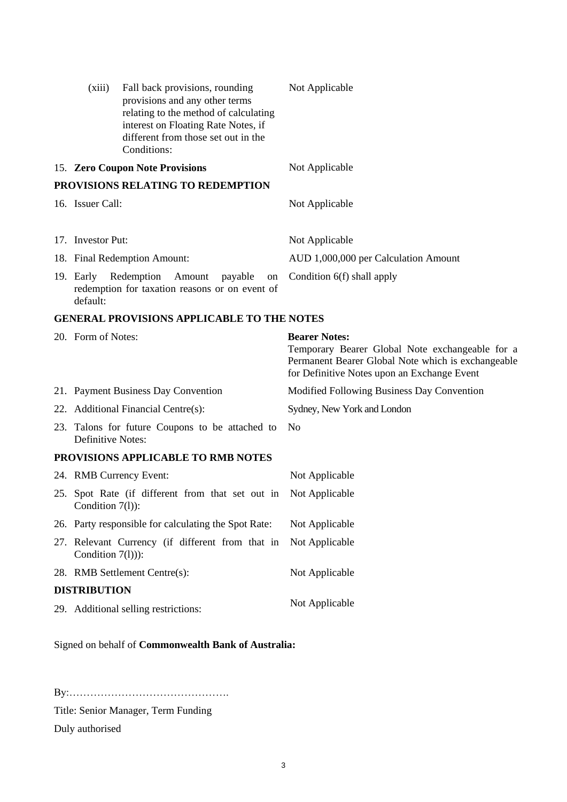| (xiii)                           | Fall back provisions, rounding<br>provisions and any other terms<br>relating to the method of calculating<br>interest on Floating Rate Notes, if | Not Applicable                                                                                                                                                               |
|----------------------------------|--------------------------------------------------------------------------------------------------------------------------------------------------|------------------------------------------------------------------------------------------------------------------------------------------------------------------------------|
|                                  | different from those set out in the<br>Conditions:                                                                                               |                                                                                                                                                                              |
|                                  | 15. Zero Coupon Note Provisions                                                                                                                  | Not Applicable                                                                                                                                                               |
|                                  | PROVISIONS RELATING TO REDEMPTION                                                                                                                |                                                                                                                                                                              |
| 16. Issuer Call:                 |                                                                                                                                                  | Not Applicable                                                                                                                                                               |
|                                  |                                                                                                                                                  |                                                                                                                                                                              |
| 17. Investor Put:                |                                                                                                                                                  | Not Applicable                                                                                                                                                               |
|                                  | 18. Final Redemption Amount:                                                                                                                     | AUD 1,000,000 per Calculation Amount                                                                                                                                         |
| 19. Early Redemption<br>default: | Amount<br>payable<br>on<br>redemption for taxation reasons or on event of                                                                        | Condition 6(f) shall apply                                                                                                                                                   |
|                                  | <b>GENERAL PROVISIONS APPLICABLE TO THE NOTES</b>                                                                                                |                                                                                                                                                                              |
| 20. Form of Notes:               |                                                                                                                                                  | <b>Bearer Notes:</b><br>Temporary Bearer Global Note exchangeable for a<br>Permanent Bearer Global Note which is exchangeable<br>for Definitive Notes upon an Exchange Event |
|                                  | 21. Payment Business Day Convention                                                                                                              | Modified Following Business Day Convention                                                                                                                                   |
|                                  | 22. Additional Financial Centre(s):                                                                                                              | Sydney, New York and London                                                                                                                                                  |
| <b>Definitive Notes:</b>         | 23. Talons for future Coupons to be attached to                                                                                                  | N <sub>0</sub>                                                                                                                                                               |
|                                  | PROVISIONS APPLICABLE TO RMB NOTES                                                                                                               |                                                                                                                                                                              |
|                                  | 24. RMB Currency Event:                                                                                                                          | Not Applicable                                                                                                                                                               |
|                                  |                                                                                                                                                  |                                                                                                                                                                              |

- 25. Spot Rate (if different from that set out in Not Applicable Condition 7(1)):
- 26. Party responsible for calculating the Spot Rate: Not Applicable 27. Relevant Currency (if different from that in Condition 7(l))): Not Applicable 28. RMB Settlement Centre(s): Not Applicable **DISTRIBUTION**
- 29. Additional selling restrictions: Not Applicable

Signed on behalf of **Commonwealth Bank of Australia:**

By:……………………………………….

Title: Senior Manager, Term Funding

Duly authorised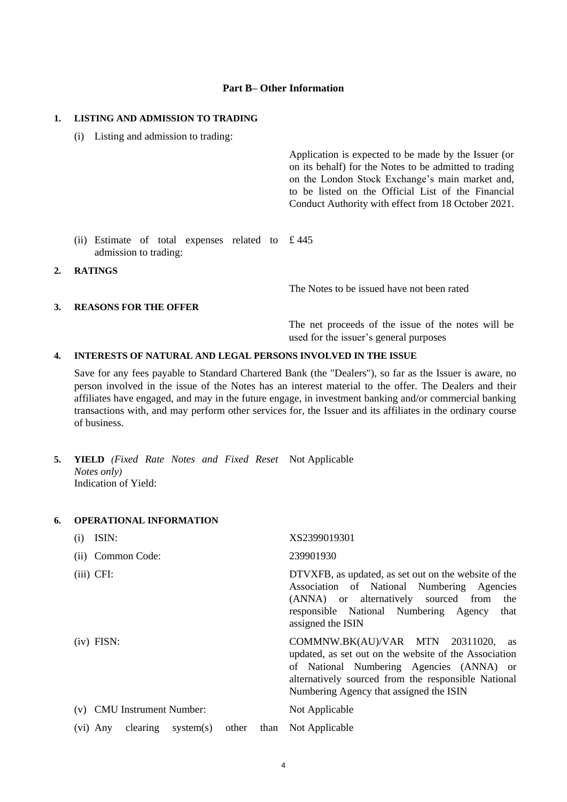### **Part B– Other Information**

### **1. LISTING AND ADMISSION TO TRADING**

(i) Listing and admission to trading:

Application is expected to be made by the Issuer (or on its behalf) for the Notes to be admitted to trading on the London Stock Exchange's main market and, to be listed on the Official List of the Financial Conduct Authority with effect from 18 October 2021.

- (ii) Estimate of total expenses related to £ 445 admission to trading:
- **2. RATINGS**

The Notes to be issued have not been rated

#### **3. REASONS FOR THE OFFER**

The net proceeds of the issue of the notes will be used for the issuer's general purposes

### **4. INTERESTS OF NATURAL AND LEGAL PERSONS INVOLVED IN THE ISSUE**

Save for any fees payable to Standard Chartered Bank (the "Dealers"), so far as the Issuer is aware, no person involved in the issue of the Notes has an interest material to the offer. The Dealers and their affiliates have engaged, and may in the future engage, in investment banking and/or commercial banking transactions with, and may perform other services for, the Issuer and its affiliates in the ordinary course of business.

**5. YIELD** *(Fixed Rate Notes and Fixed Reset*  Not Applicable *Notes only)* Indication of Yield:

### **6. OPERATIONAL INFORMATION**

| ISIN:<br>(1)                          |       |      | XS2399019301                                                                                                                                                                                                                              |
|---------------------------------------|-------|------|-------------------------------------------------------------------------------------------------------------------------------------------------------------------------------------------------------------------------------------------|
| (ii) Common Code:                     |       |      | 239901930                                                                                                                                                                                                                                 |
| $(iii)$ CFI:                          |       |      | DTVXFB, as updated, as set out on the website of the<br>Association of National Numbering Agencies<br>(ANNA) or alternatively sourced from<br>the<br>responsible National Numbering Agency<br>that<br>assigned the ISIN                   |
| $(iv)$ FISN:                          |       |      | COMMNW.BK(AU)/VAR MTN 20311020, as<br>updated, as set out on the website of the Association<br>of National Numbering Agencies (ANNA) or<br>alternatively sourced from the responsible National<br>Numbering Agency that assigned the ISIN |
| <b>CMU</b> Instrument Number:<br>(v)  |       |      | Not Applicable                                                                                                                                                                                                                            |
| $clearing$ system $(s)$<br>$(vi)$ Any | other | than | Not Applicable                                                                                                                                                                                                                            |